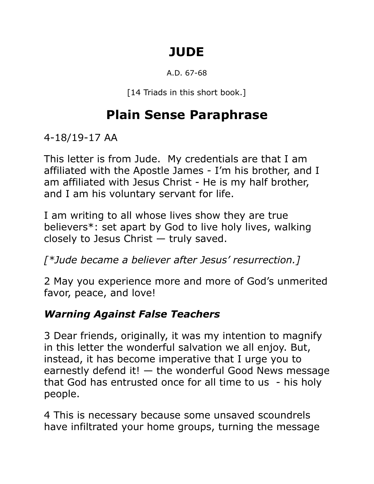# **JUDE**

#### A.D. 67-68

[14 Triads in this short book.]

# **Plain Sense Paraphrase**

4-18/19-17 AA

This letter is from Jude. My credentials are that I am affiliated with the Apostle James - I'm his brother, and I am affiliated with Jesus Christ - He is my half brother, and I am his voluntary servant for life.

I am writing to all whose lives show they are true believers\*: set apart by God to live holy lives, walking closely to Jesus Christ — truly saved.

*[\*Jude became a believer after Jesus' resurrection.]*

2 May you experience more and more of God's unmerited favor, peace, and love!

## *Warning Against False Teachers*

3 Dear friends, originally, it was my intention to magnify in this letter the wonderful salvation we all enjoy. But, instead, it has become imperative that I urge you to earnestly defend it!  $-$  the wonderful Good News message that God has entrusted once for all time to us - his holy people.

4 This is necessary because some unsaved scoundrels have infiltrated your home groups, turning the message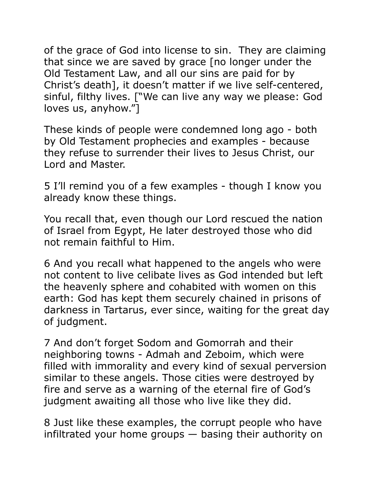of the grace of God into license to sin. They are claiming that since we are saved by grace [no longer under the Old Testament Law, and all our sins are paid for by Christ's death], it doesn't matter if we live self-centered, sinful, filthy lives. ["We can live any way we please: God loves us, anyhow."]

These kinds of people were condemned long ago - both by Old Testament prophecies and examples - because they refuse to surrender their lives to Jesus Christ, our Lord and Master.

5 I'll remind you of a few examples - though I know you already know these things.

You recall that, even though our Lord rescued the nation of Israel from Egypt, He later destroyed those who did not remain faithful to Him.

6 And you recall what happened to the angels who were not content to live celibate lives as God intended but left the heavenly sphere and cohabited with women on this earth: God has kept them securely chained in prisons of darkness in Tartarus, ever since, waiting for the great day of judgment.

7 And don't forget Sodom and Gomorrah and their neighboring towns - Admah and Zeboim, which were filled with immorality and every kind of sexual perversion similar to these angels. Those cities were destroyed by fire and serve as a warning of the eternal fire of God's judgment awaiting all those who live like they did.

8 Just like these examples, the corrupt people who have infiltrated your home groups — basing their authority on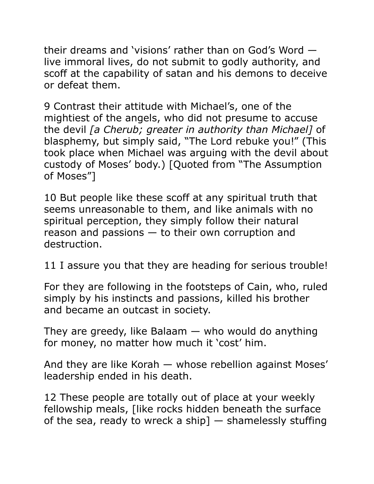their dreams and 'visions' rather than on God's Word live immoral lives, do not submit to godly authority, and scoff at the capability of satan and his demons to deceive or defeat them.

9 Contrast their attitude with Michael's, one of the mightiest of the angels, who did not presume to accuse the devil *[a Cherub; greater in authority than Michael]* of blasphemy, but simply said, "The Lord rebuke you!" (This took place when Michael was arguing with the devil about custody of Moses' body.) [Quoted from "The Assumption of Moses"]

10 But people like these scoff at any spiritual truth that seems unreasonable to them, and like animals with no spiritual perception, they simply follow their natural reason and passions — to their own corruption and destruction.

11 I assure you that they are heading for serious trouble!

For they are following in the footsteps of Cain, who, ruled simply by his instincts and passions, killed his brother and became an outcast in society.

They are greedy, like Balaam  $-$  who would do anything for money, no matter how much it 'cost' him.

And they are like Korah — whose rebellion against Moses' leadership ended in his death.

12 These people are totally out of place at your weekly fellowship meals, [like rocks hidden beneath the surface of the sea, ready to wreck a ship  $-$  shamelessly stuffing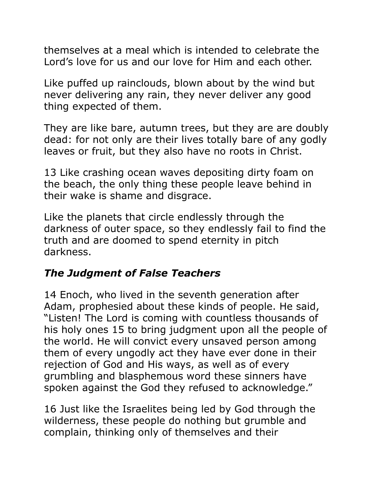themselves at a meal which is intended to celebrate the Lord's love for us and our love for Him and each other.

Like puffed up rainclouds, blown about by the wind but never delivering any rain, they never deliver any good thing expected of them.

They are like bare, autumn trees, but they are are doubly dead: for not only are their lives totally bare of any godly leaves or fruit, but they also have no roots in Christ.

13 Like crashing ocean waves depositing dirty foam on the beach, the only thing these people leave behind in their wake is shame and disgrace.

Like the planets that circle endlessly through the darkness of outer space, so they endlessly fail to find the truth and are doomed to spend eternity in pitch darkness.

### *The Judgment of False Teachers*

14 Enoch, who lived in the seventh generation after Adam, prophesied about these kinds of people. He said, "Listen! The Lord is coming with countless thousands of his holy ones 15 to bring judgment upon all the people of the world. He will convict every unsaved person among them of every ungodly act they have ever done in their rejection of God and His ways, as well as of every grumbling and blasphemous word these sinners have spoken against the God they refused to acknowledge."

16 Just like the Israelites being led by God through the wilderness, these people do nothing but grumble and complain, thinking only of themselves and their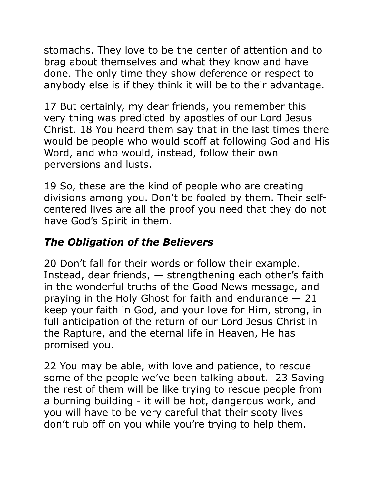stomachs. They love to be the center of attention and to brag about themselves and what they know and have done. The only time they show deference or respect to anybody else is if they think it will be to their advantage.

17 But certainly, my dear friends, you remember this very thing was predicted by apostles of our Lord Jesus Christ. 18 You heard them say that in the last times there would be people who would scoff at following God and His Word, and who would, instead, follow their own perversions and lusts.

19 So, these are the kind of people who are creating divisions among you. Don't be fooled by them. Their selfcentered lives are all the proof you need that they do not have God's Spirit in them.

## *The Obligation of the Believers*

20 Don't fall for their words or follow their example. Instead, dear friends, — strengthening each other's faith in the wonderful truths of the Good News message, and praying in the Holy Ghost for faith and endurance  $-21$ keep your faith in God, and your love for Him, strong, in full anticipation of the return of our Lord Jesus Christ in the Rapture, and the eternal life in Heaven, He has promised you.

22 You may be able, with love and patience, to rescue some of the people we've been talking about. 23 Saving the rest of them will be like trying to rescue people from a burning building - it will be hot, dangerous work, and you will have to be very careful that their sooty lives don't rub off on you while you're trying to help them.